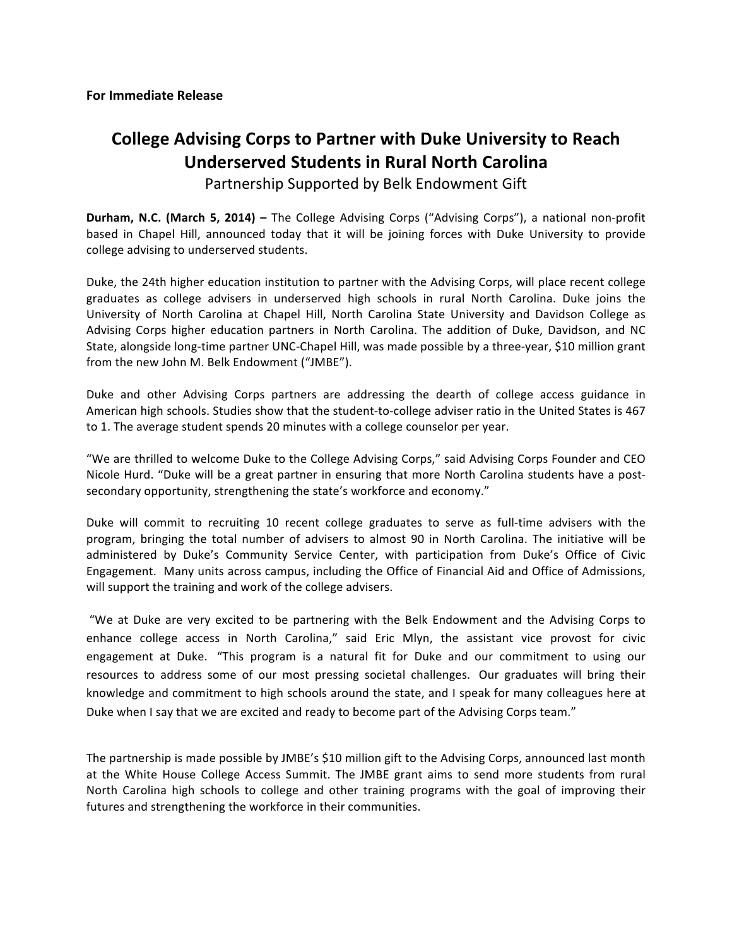# **College Advising Corps to Partner with Duke University to Reach Underserved Students in Rural North Carolina**

Partnership Supported by Belk Endowment Gift

**Durham, N.C. (March 5, 2014) – The College Advising Corps ("Advising Corps"), a national non-profit** based in Chapel Hill, announced today that it will be joining forces with Duke University to provide college advising to underserved students.

Duke, the 24th higher education institution to partner with the Advising Corps, will place recent college graduates as college advisers in underserved high schools in rural North Carolina. Duke joins the University of North Carolina at Chapel Hill, North Carolina State University and Davidson College as Advising Corps higher education partners in North Carolina. The addition of Duke, Davidson, and NC State, alongside long-time partner UNC-Chapel Hill, was made possible by a three-year, \$10 million grant from the new John M. Belk Endowment ("JMBE").

Duke and other Advising Corps partners are addressing the dearth of college access guidance in American high schools. Studies show that the student-to-college adviser ratio in the United States is 467 to 1. The average student spends 20 minutes with a college counselor per year.

"We are thrilled to welcome Duke to the College Advising Corps," said Advising Corps Founder and CEO Nicole Hurd. "Duke will be a great partner in ensuring that more North Carolina students have a postsecondary opportunity, strengthening the state's workforce and economy."

Duke will commit to recruiting 10 recent college graduates to serve as full-time advisers with the program, bringing the total number of advisers to almost 90 in North Carolina. The initiative will be administered by Duke's Community Service Center, with participation from Duke's Office of Civic Engagement. Many units across campus, including the Office of Financial Aid and Office of Admissions, will support the training and work of the college advisers.

"We at Duke are very excited to be partnering with the Belk Endowment and the Advising Corps to enhance college access in North Carolina," said Eric Mlyn, the assistant vice provost for civic engagement at Duke. "This program is a natural fit for Duke and our commitment to using our resources to address some of our most pressing societal challenges. Our graduates will bring their knowledge and commitment to high schools around the state, and I speak for many colleagues here at Duke when I say that we are excited and ready to become part of the Advising Corps team."

The partnership is made possible by JMBE's \$10 million gift to the Advising Corps, announced last month at the White House College Access Summit. The JMBE grant aims to send more students from rural North Carolina high schools to college and other training programs with the goal of improving their futures and strengthening the workforce in their communities.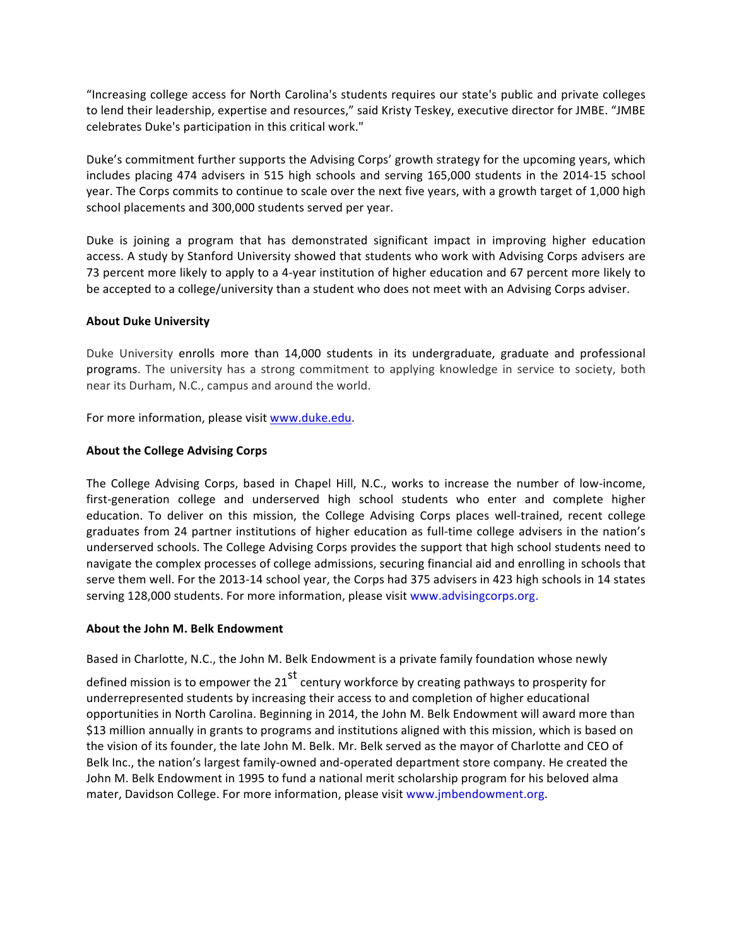"Increasing college access for North Carolina's students requires our state's public and private colleges to lend their leadership, expertise and resources," said Kristy Teskey, executive director for JMBE. "JMBE celebrates Duke's participation in this critical work."

Duke's commitment further supports the Advising Corps' growth strategy for the upcoming years, which includes placing 474 advisers in 515 high schools and serving 165,000 students in the 2014-15 school year. The Corps commits to continue to scale over the next five years, with a growth target of 1,000 high school placements and 300,000 students served per year.

Duke is joining a program that has demonstrated significant impact in improving higher education access. A study by Stanford University showed that students who work with Advising Corps advisers are 73 percent more likely to apply to a 4-year institution of higher education and 67 percent more likely to be accepted to a college/university than a student who does not meet with an Advising Corps adviser.

### **About Duke University**

Duke University enrolls more than 14,000 students in its undergraduate, graduate and professional programs. The university has a strong commitment to applying knowledge in service to society, both near its Durham, N.C., campus and around the world.

For more information, please visit www.duke.edu.

#### **About the College Advising Corps**

The College Advising Corps, based in Chapel Hill, N.C., works to increase the number of low-income, first-generation college and underserved high school students who enter and complete higher education. To deliver on this mission, the College Advising Corps places well-trained, recent college graduates from 24 partner institutions of higher education as full-time college advisers in the nation's underserved schools. The College Advising Corps provides the support that high school students need to navigate the complex processes of college admissions, securing financial aid and enrolling in schools that serve them well. For the 2013-14 school year, the Corps had 375 advisers in 423 high schools in 14 states serving 128,000 students. For more information, please visit www.advisingcorps.org.

#### **About the John M. Belk Endowment**

Based in Charlotte, N.C., the John M. Belk Endowment is a private family foundation whose newly

defined mission is to empower the  $21<sup>st</sup>$  century workforce by creating pathways to prosperity for underrepresented students by increasing their access to and completion of higher educational opportunities in North Carolina. Beginning in 2014, the John M. Belk Endowment will award more than \$13 million annually in grants to programs and institutions aligned with this mission, which is based on the vision of its founder, the late John M. Belk. Mr. Belk served as the mayor of Charlotte and CEO of Belk Inc., the nation's largest family-owned and-operated department store company. He created the John M. Belk Endowment in 1995 to fund a national merit scholarship program for his beloved alma mater, Davidson College. For more information, please visit www.jmbendowment.org.